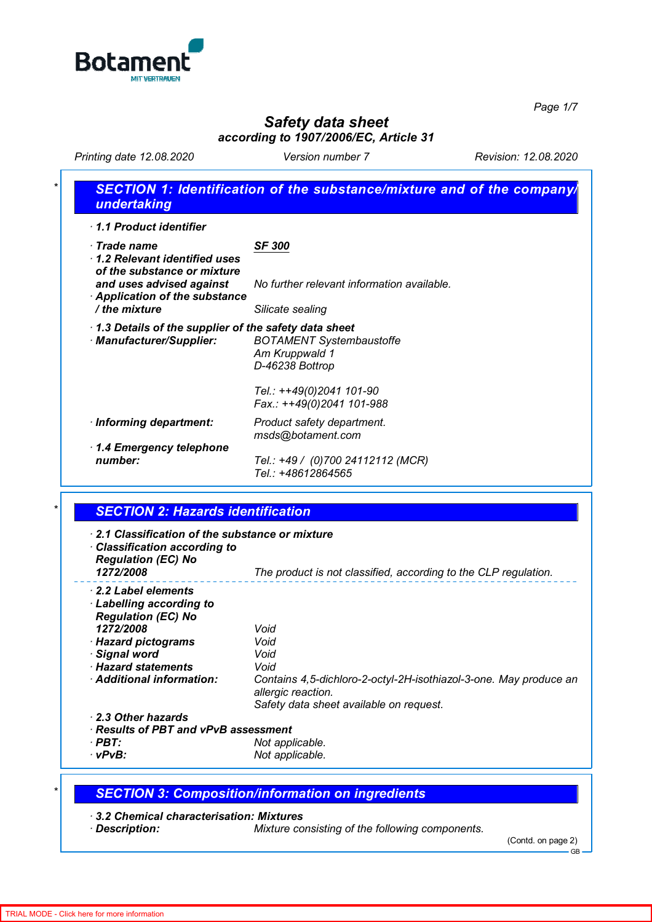

*Page 1/7*

## *Safety data sheet according to 1907/2006/EC, Article 31*

*Printing date 12.08.2020 Version number 7 Revision: 12.08.2020*

| 1.1 Product identifier                                                            |                                                                                                                               |
|-----------------------------------------------------------------------------------|-------------------------------------------------------------------------------------------------------------------------------|
| $\cdot$ Trade name<br>1.2 Relevant identified uses<br>of the substance or mixture | <b>SF 300</b>                                                                                                                 |
| and uses advised against<br>Application of the substance                          | No further relevant information available.                                                                                    |
| / the mixture                                                                     | Silicate sealing                                                                                                              |
| · Manufacturer/Supplier:                                                          | <b>BOTAMENT Systembaustoffe</b><br>Am Kruppwald 1<br>D-46238 Bottrop<br>Tel.: ++49(0)2041 101-90<br>Fax.: ++49(0)2041 101-988 |
| · Informing department:                                                           | Product safety department.<br>msds@botament.com                                                                               |
| 1.4 Emergency telephone<br>number:                                                | Tel.: +49 / (0)700 24112112 (MCR)<br>Tel.: +48612864565                                                                       |

| 2.1 Classification of the substance or mixture<br>$\cdot$ Classification according to<br><b>Regulation (EC) No</b><br>1272/2008 | The product is not classified, according to the CLP regulation.                         |
|---------------------------------------------------------------------------------------------------------------------------------|-----------------------------------------------------------------------------------------|
| 2.2 Label elements                                                                                                              |                                                                                         |
| Labelling according to                                                                                                          |                                                                                         |
| <b>Regulation (EC) No</b><br>1272/2008                                                                                          | Void                                                                                    |
| · Hazard pictograms                                                                                                             | Void                                                                                    |
| · Signal word                                                                                                                   | Void                                                                                    |
| · Hazard statements                                                                                                             | Void                                                                                    |
| · Additional information:                                                                                                       | Contains 4,5-dichloro-2-octyl-2H-isothiazol-3-one. May produce an<br>allergic reaction. |
|                                                                                                                                 | Safety data sheet available on request.                                                 |
| 2.3 Other hazards                                                                                                               |                                                                                         |
| $\cdot$ Results of PBT and vPvB assessment                                                                                      |                                                                                         |
| · PBT:                                                                                                                          | Not applicable.                                                                         |
| $\cdot$ vPvB:                                                                                                                   | Not applicable.                                                                         |

## *\* SECTION 3: Composition/information on ingredients*

*· 3.2 Chemical characterisation: Mixtures*

*Mixture consisting of the following components.* 

<sup>(</sup>Contd. on page 2)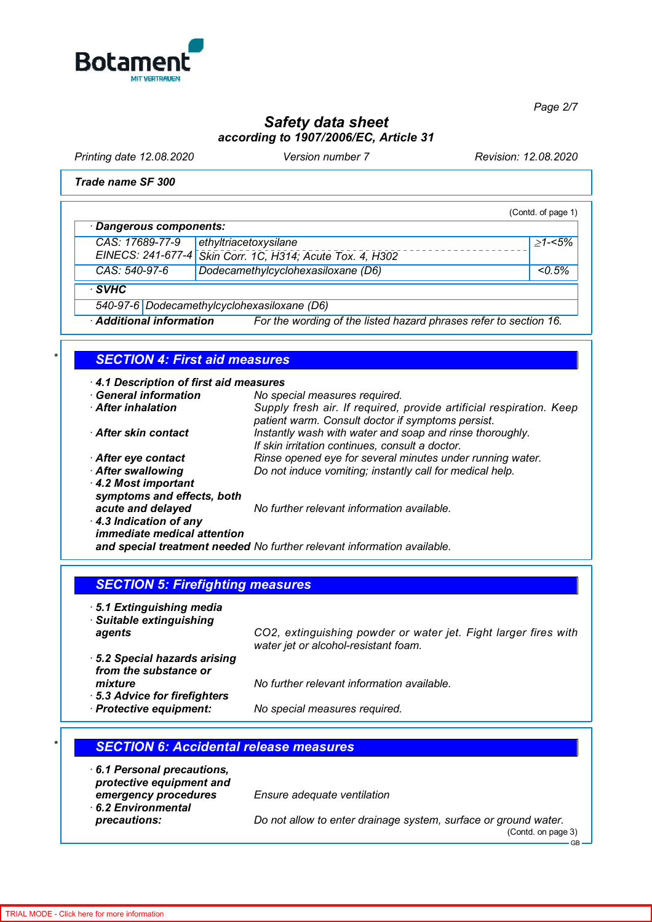

*Page 2/7*

# *Safety data sheet according to 1907/2006/EC, Article 31*

*Printing date 12.08.2020 Version number 7 Revision: 12.08.2020*

*Trade name SF 300*

(Contd. of page 1) *· Dangerous components: CAS: 17689-77-9 EINECS: 241-677-4 ethyltriacetoxysilane Skin Corr. 1C, H314; Acute Tox. 4, H302* <sup>≥</sup>*1-<5% CAS: 540-97-6 Dodecamethylcyclohexasiloxane (D6) <0.5% · SVHC 540-97-6 Dodecamethylcyclohexasiloxane (D6)*

*· Additional information For the wording of the listed hazard phrases refer to section 16.*

### *\* SECTION 4: First aid measures*

*· 4.1 Description of first aid measures*

| <b>General information</b>                                  | No special measures required.                                                                                            |
|-------------------------------------------------------------|--------------------------------------------------------------------------------------------------------------------------|
| <b>After inhalation</b>                                     | Supply fresh air. If required, provide artificial respiration. Keep<br>patient warm. Consult doctor if symptoms persist. |
| After skin contact                                          | Instantly wash with water and soap and rinse thoroughly.<br>If skin irritation continues, consult a doctor.              |
| After eye contact                                           | Rinse opened eye for several minutes under running water.                                                                |
| After swallowing                                            | Do not induce vomiting; instantly call for medical help.                                                                 |
| 4.2 Most important<br>symptoms and effects, both            |                                                                                                                          |
| acute and delayed                                           | No further relevant information available.                                                                               |
| 4.3 Indication of any<br><i>immediate medical attention</i> |                                                                                                                          |

*and special treatment needed No further relevant information available.*

#### *SECTION 5: Firefighting measures*

*· 5.1 Extinguishing media*

*· Suitable extinguishing*

*agents CO2, extinguishing powder or water jet. Fight larger fires with water jet or alcohol-resistant foam.*

*· 5.2 Special hazards arising from the substance or mixture No further relevant information available. · 5.3 Advice for firefighters*

*· Protective equipment: No special measures required.*

### *\* SECTION 6: Accidental release measures · 6.1 Personal precautions, protective equipment and emergency procedures Ensure adequate ventilation · 6.2 Environmental precautions: Do not allow to enter drainage system, surface or ground water.* (Contd. on page 3)

**GB**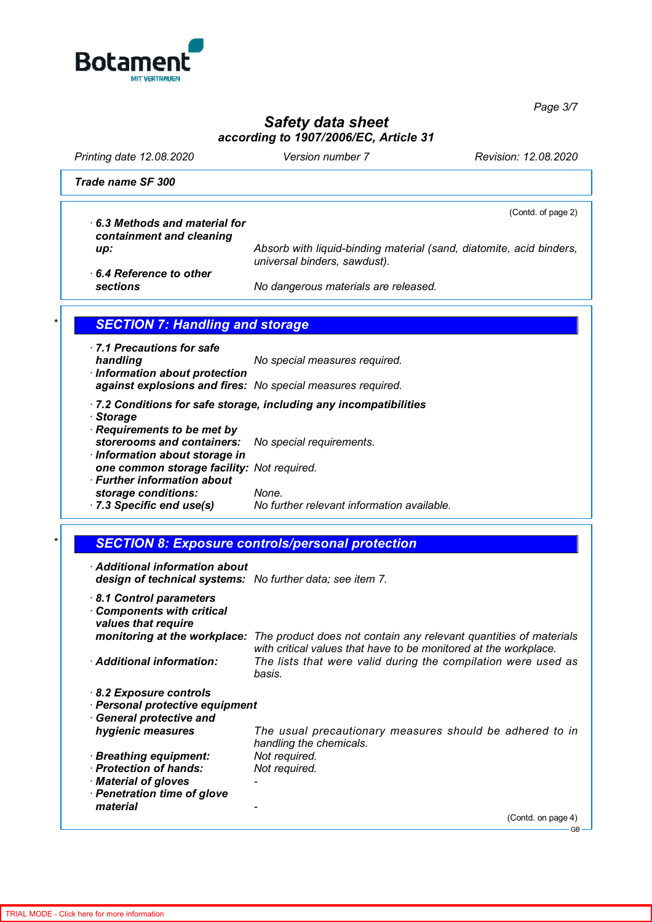

*Page 3/7*

## *Safety data sheet according to 1907/2006/EC, Article 31*

*Printing date 12.08.2020 Version number 7 Revision: 12.08.2020*

*Trade name SF 300*

(Contd. of page 2)

*· 6.3 Methods and material for containment and cleaning*

*up: Absorb with liquid-binding material (sand, diatomite, acid binders, universal binders, sawdust).*

*· 6.4 Reference to other*

*sections No dangerous materials are released.*

## **SECTION 7: Handling and storage**

*· 7.1 Precautions for safe handling No special measures required. · Information about protection*

*against explosions and fires: No special measures required.*

- *· 7.2 Conditions for safe storage, including any incompatibilities*
- *· Storage*
- *· Requirements to be met by storerooms and containers: No special requirements. · Information about storage in one common storage facility: Not required. · Further information about*
- *storage conditions: None. · 7.3 Specific end use(s) No further relevant information available.*
	- *\* SECTION 8: Exposure controls/personal protection*
- *· Additional information about design of technical systems: No further data; see item 7.*
- *· 8.1 Control parameters · Components with critical values that require monitoring at the workplace: The product does not contain any relevant quantities of materials with critical values that have to be monitored at the workplace. · Additional information: The lists that were valid during the compilation were used as basis. · 8.2 Exposure controls · Personal protective equipment · General protective and hygienic measures The usual precautionary measures should be adhered to in handling the chemicals. · Breathing equipment: Not required. · Protection of hands: Not required. · Material of gloves -*
- *· Penetration time of glove material -*

(Contd. on page 4)

GB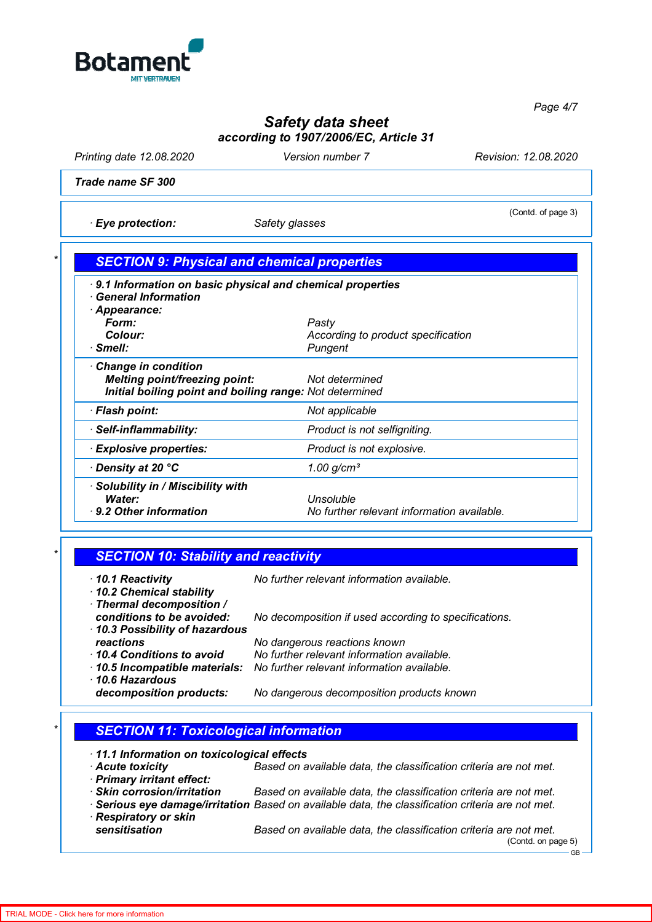

*Page 4/7*

# *Safety data sheet according to 1907/2006/EC, Article 31*

*Printing date 12.08.2020 Version number 7 Revision: 12.08.2020*

(Contd. of page 3)

*Trade name SF 300*

*· Eye protection: Safety glasses*

| 9.1 Information on basic physical and chemical properties<br><b>General Information</b> |                                    |
|-----------------------------------------------------------------------------------------|------------------------------------|
| Appearance:                                                                             |                                    |
| Form:                                                                                   | Pasty                              |
| Colour:                                                                                 | According to product specification |
| · Smell:                                                                                | Pungent                            |
| Change in condition                                                                     |                                    |
| <b>Melting point/freezing point:</b>                                                    | Not determined                     |
| Initial boiling point and boiling range: Not determined                                 |                                    |
| · Flash point:                                                                          | Not applicable                     |
| · Self-inflammability:                                                                  | Product is not selfigniting.       |

| <b>Explosive properties:</b>                                          | Product is not explosive.                               |
|-----------------------------------------------------------------------|---------------------------------------------------------|
| $\cdot$ Density at 20 $^{\circ}$ C                                    | 1.00 $q/cm^3$                                           |
| · Solubility in / Miscibility with<br>Water:<br>9.2 Other information | Unsoluble<br>No further relevant information available. |

| 10.1 Reactivity<br>10.2 Chemical stability       | No further relevant information available.            |
|--------------------------------------------------|-------------------------------------------------------|
| · Thermal decomposition /                        |                                                       |
| conditions to be avoided:                        | No decomposition if used according to specifications. |
| 10.3 Possibility of hazardous<br>reactions       | No dangerous reactions known                          |
| 10.4 Conditions to avoid                         | No further relevant information available.            |
| · 10.5 Incompatible materials:<br>10.6 Hazardous | No further relevant information available.            |
| decomposition products:                          | No dangerous decomposition products known             |

## *\* SECTION 11: Toxicological information*

|  |  | · 11.1 Information on toxicological effects |  |
|--|--|---------------------------------------------|--|
|--|--|---------------------------------------------|--|

- *· Acute toxicity Based on available data, the classification criteria are not met. · Primary irritant effect:* Based on available data, the classification criteria are not met.
- *· Serious eye damage/irritation Based on available data, the classification criteria are not met. · Respiratory or skin*

*sensitisation Based on available data, the classification criteria are not met.* (Contd. on page 5) GB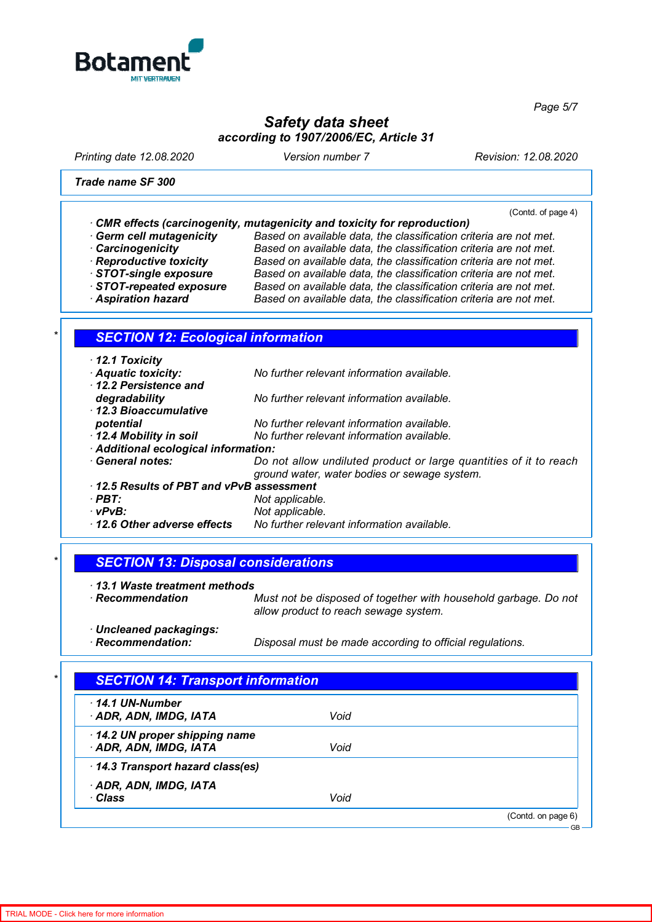

*Page 5/7*

## *Safety data sheet according to 1907/2006/EC, Article 31*

*Printing date 12.08.2020 Version number 7 Revision: 12.08.2020*

*Trade name SF 300*

(Contd. of page 4)

|  | CMR effects (carcinogenity, mutagenicity and toxicity for reproduction) |  |  |  |  |
|--|-------------------------------------------------------------------------|--|--|--|--|
|--|-------------------------------------------------------------------------|--|--|--|--|

*· Germ cell mutagenicity Based on available data, the classification criteria are not met. · Carcinogenicity Based on available data, the classification criteria are not met.* **Based on available data, the classification criteria are not met.** *· STOT-single exposure Based on available data, the classification criteria are not met.* Based on available data, the classification criteria are not met. *· Aspiration hazard Based on available data, the classification criteria are not met.*

#### *\* SECTION 12: Ecological information*

| $\cdot$ 12.1 Toxicity                                                  |                                                                   |  |
|------------------------------------------------------------------------|-------------------------------------------------------------------|--|
| <b>Aquatic toxicity:</b><br>No further relevant information available. |                                                                   |  |
| 12.2 Persistence and                                                   |                                                                   |  |
| degradability                                                          | No further relevant information available.                        |  |
| 12.3 Bioaccumulative                                                   |                                                                   |  |
| potential                                                              | No further relevant information available.                        |  |
| 12.4 Mobility in soil                                                  | No further relevant information available.                        |  |
| · Additional ecological information:                                   |                                                                   |  |
| <b>General notes:</b>                                                  | Do not allow undiluted product or large quantities of it to reach |  |
|                                                                        | ground water, water bodies or sewage system.                      |  |
| 12.5 Results of PBT and vPvB assessment                                |                                                                   |  |
| $\cdot$ PBT:<br>Not applicable.                                        |                                                                   |  |
| vPvB:                                                                  | Not applicable.                                                   |  |
| 12.6 Other adverse effects                                             | No further relevant information available.                        |  |

#### *\* SECTION 13: Disposal considerations*

- *· 13.1 Waste treatment methods Must not be disposed of together with household garbage. Do not allow product to reach sewage system.*
- *· Uncleaned packagings:*

*Disposal must be made according to official regulations.* 

| $\cdot$ 14.1 UN-Number          |      |  |
|---------------------------------|------|--|
| · ADR, ADN, IMDG, IATA          | Void |  |
| 14.2 UN proper shipping name    |      |  |
| ADR, ADN, IMDG, IATA            | Void |  |
| 14.3 Transport hazard class(es) |      |  |
| · ADR, ADN, IMDG, IATA          |      |  |
| · Class                         | Void |  |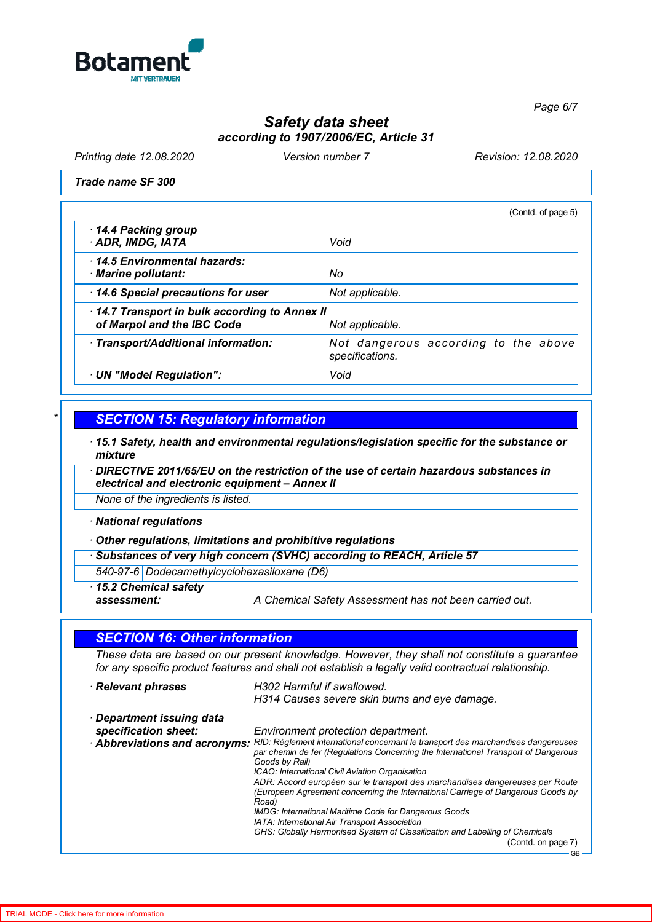

# *Safety data sheet according to 1907/2006/EC, Article 31*

*Printing date 12.08.2020 Version number 7 Revision: 12.08.2020*

*Trade name SF 300*

|                                                                            | (Contd. of page 5)                                      |
|----------------------------------------------------------------------------|---------------------------------------------------------|
| 14.4 Packing group<br>ADR, IMDG, IATA                                      | Void                                                    |
| 14.5 Environmental hazards:<br>· Marine pollutant:                         | No                                                      |
| 14.6 Special precautions for user                                          | Not applicable.                                         |
| 14.7 Transport in bulk according to Annex II<br>of Marpol and the IBC Code | Not applicable.                                         |
| · Transport/Additional information:                                        | Not dangerous according to the above<br>specifications. |
| · UN "Model Regulation":                                                   | Void                                                    |

### *\* SECTION 15: Regulatory information*

*· 15.1 Safety, health and environmental regulations/legislation specific for the substance or mixture*

*· DIRECTIVE 2011/65/EU on the restriction of the use of certain hazardous substances in electrical and electronic equipment – Annex II*

*None of the ingredients is listed.*

*· National regulations*

*· Other regulations, limitations and prohibitive regulations*

*· Substances of very high concern (SVHC) according to REACH, Article 57*

*540-97-6 Dodecamethylcyclohexasiloxane (D6)*

*· 15.2 Chemical safety*

*assessment: A Chemical Safety Assessment has not been carried out.*

| <b>SECTION 16: Other information</b>                                                                                                                                                                 |                                                                                                                                                                                           |  |
|------------------------------------------------------------------------------------------------------------------------------------------------------------------------------------------------------|-------------------------------------------------------------------------------------------------------------------------------------------------------------------------------------------|--|
| These data are based on our present knowledge. However, they shall not constitute a guarantee<br>for any specific product features and shall not establish a legally valid contractual relationship. |                                                                                                                                                                                           |  |
| · Relevant phrases                                                                                                                                                                                   | H302 Harmful if swallowed.<br>H314 Causes severe skin burns and eye damage.                                                                                                               |  |
| · Department issuing data                                                                                                                                                                            |                                                                                                                                                                                           |  |
| specification sheet:                                                                                                                                                                                 | Environment protection department.                                                                                                                                                        |  |
| · Abbreviations and acronyms:                                                                                                                                                                        | RID: Règlement international concernant le transport des marchandises dangereuses<br>par chemin de fer (Regulations Concerning the International Transport of Dangerous<br>Goods by Rail) |  |
|                                                                                                                                                                                                      | ICAO: International Civil Aviation Organisation                                                                                                                                           |  |
|                                                                                                                                                                                                      | ADR: Accord européen sur le transport des marchandises dangereuses par Route<br>(European Agreement concerning the International Carriage of Dangerous Goods by<br>Road)                  |  |
|                                                                                                                                                                                                      | IMDG: International Maritime Code for Dangerous Goods                                                                                                                                     |  |
|                                                                                                                                                                                                      | IATA: International Air Transport Association                                                                                                                                             |  |
|                                                                                                                                                                                                      | GHS: Globally Harmonised System of Classification and Labelling of Chemicals                                                                                                              |  |
|                                                                                                                                                                                                      | (Contd. on page 7)                                                                                                                                                                        |  |
|                                                                                                                                                                                                      |                                                                                                                                                                                           |  |